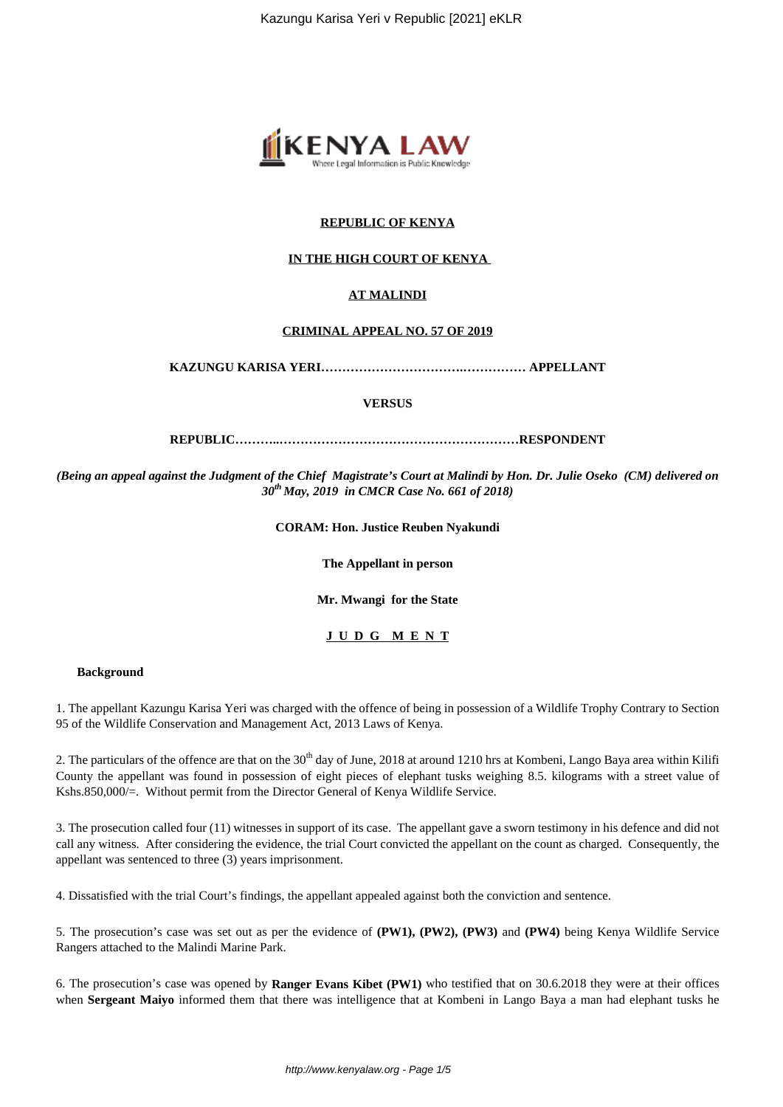

## **REPUBLIC OF KENYA**

#### **IN THE HIGH COURT OF KENYA**

### **AT MALINDI**

#### **CRIMINAL APPEAL NO. 57 OF 2019**

**KAZUNGU KARISA YERI…………………………….…………… APPELLANT**

**VERSUS**

**REPUBLIC………..…………………………………………………RESPONDENT**

*(Being an appeal against the Judgment of the Chief Magistrate's Court at Malindi by Hon. Dr. Julie Oseko (CM) delivered on 30th May, 2019 in CMCR Case No. 661 of 2018)*

**CORAM: Hon. Justice Reuben Nyakundi**

**The Appellant in person**

**Mr. Mwangi for the State**

**J U D G M E N T**

#### **Background**

1. The appellant Kazungu Karisa Yeri was charged with the offence of being in possession of a Wildlife Trophy Contrary to Section 95 of the Wildlife Conservation and Management Act, 2013 Laws of Kenya.

2. The particulars of the offence are that on the  $30<sup>th</sup>$  day of June, 2018 at around 1210 hrs at Kombeni, Lango Baya area within Kilifi County the appellant was found in possession of eight pieces of elephant tusks weighing 8.5. kilograms with a street value of Kshs.850,000/=. Without permit from the Director General of Kenya Wildlife Service.

3. The prosecution called four (11) witnesses in support of its case. The appellant gave a sworn testimony in his defence and did not call any witness. After considering the evidence, the trial Court convicted the appellant on the count as charged. Consequently, the appellant was sentenced to three (3) years imprisonment.

4. Dissatisfied with the trial Court's findings, the appellant appealed against both the conviction and sentence.

5. The prosecution's case was set out as per the evidence of **(PW1), (PW2), (PW3)** and **(PW4)** being Kenya Wildlife Service Rangers attached to the Malindi Marine Park.

6. The prosecution's case was opened by **Ranger Evans Kibet (PW1)** who testified that on 30.6.2018 they were at their offices when **Sergeant Maiyo** informed them that there was intelligence that at Kombeni in Lango Baya a man had elephant tusks he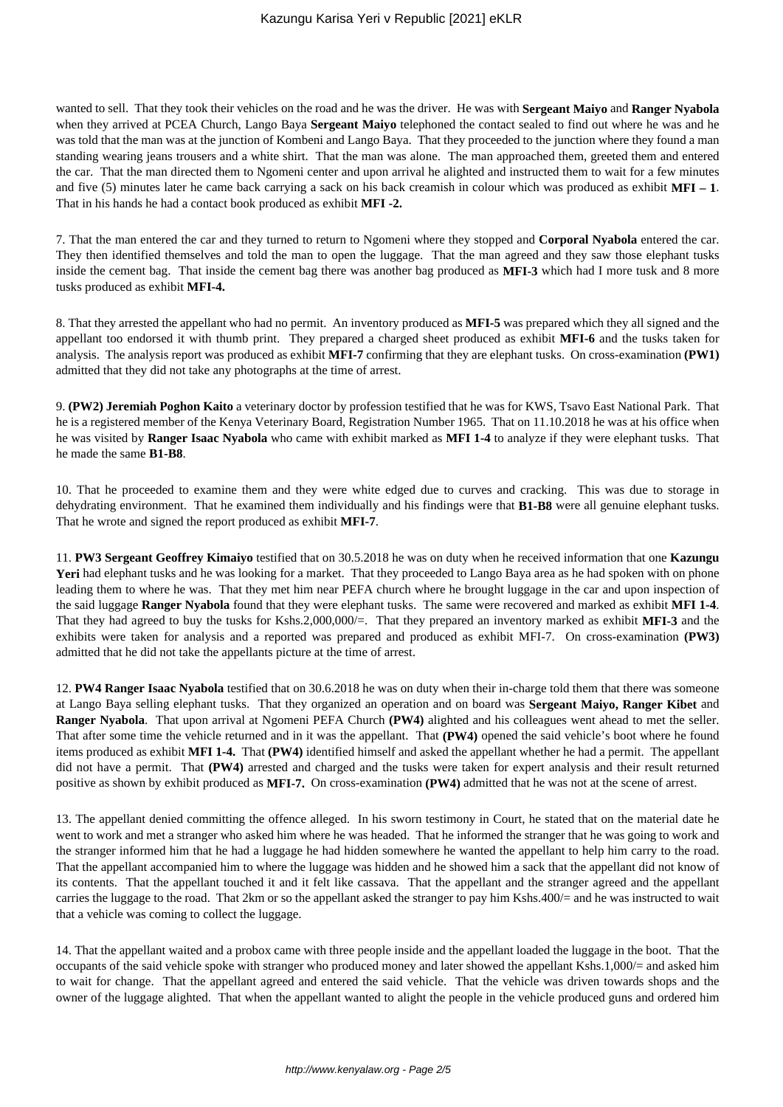wanted to sell. That they took their vehicles on the road and he was the driver. He was with **Sergeant Maiyo** and **Ranger Nyabola** when they arrived at PCEA Church, Lango Baya **Sergeant Maiyo** telephoned the contact sealed to find out where he was and he was told that the man was at the junction of Kombeni and Lango Baya. That they proceeded to the junction where they found a man standing wearing jeans trousers and a white shirt. That the man was alone. The man approached them, greeted them and entered the car. That the man directed them to Ngomeni center and upon arrival he alighted and instructed them to wait for a few minutes and five (5) minutes later he came back carrying a sack on his back creamish in colour which was produced as exhibit **MFI – 1**. That in his hands he had a contact book produced as exhibit **MFI -2.**

7. That the man entered the car and they turned to return to Ngomeni where they stopped and **Corporal Nyabola** entered the car. They then identified themselves and told the man to open the luggage. That the man agreed and they saw those elephant tusks inside the cement bag. That inside the cement bag there was another bag produced as **MFI-3** which had I more tusk and 8 more tusks produced as exhibit **MFI-4.**

8. That they arrested the appellant who had no permit. An inventory produced as **MFI-5** was prepared which they all signed and the appellant too endorsed it with thumb print. They prepared a charged sheet produced as exhibit **MFI-6** and the tusks taken for analysis. The analysis report was produced as exhibit **MFI-7** confirming that they are elephant tusks. On cross-examination **(PW1)** admitted that they did not take any photographs at the time of arrest.

9. **(PW2) Jeremiah Poghon Kaito** a veterinary doctor by profession testified that he was for KWS, Tsavo East National Park. That he is a registered member of the Kenya Veterinary Board, Registration Number 1965. That on 11.10.2018 he was at his office when he was visited by **Ranger Isaac Nyabola** who came with exhibit marked as **MFI 1-4** to analyze if they were elephant tusks. That he made the same **B1-B8**.

10. That he proceeded to examine them and they were white edged due to curves and cracking. This was due to storage in dehydrating environment. That he examined them individually and his findings were that **B1-B8** were all genuine elephant tusks. That he wrote and signed the report produced as exhibit **MFI-7**.

11. **PW3 Sergeant Geoffrey Kimaiyo** testified that on 30.5.2018 he was on duty when he received information that one **Kazungu** Yeri had elephant tusks and he was looking for a market. That they proceeded to Lango Baya area as he had spoken with on phone leading them to where he was. That they met him near PEFA church where he brought luggage in the car and upon inspection of the said luggage **Ranger Nyabola** found that they were elephant tusks. The same were recovered and marked as exhibit **MFI 1-4**. That they had agreed to buy the tusks for Kshs.2,000,000/=. That they prepared an inventory marked as exhibit **MFI-3** and the exhibits were taken for analysis and a reported was prepared and produced as exhibit MFI-7. On cross-examination **(PW3)** admitted that he did not take the appellants picture at the time of arrest.

12. **PW4 Ranger Isaac Nyabola** testified that on 30.6.2018 he was on duty when their in-charge told them that there was someone at Lango Baya selling elephant tusks. That they organized an operation and on board was **Sergeant Maiyo, Ranger Kibet** and **Ranger Nyabola**. That upon arrival at Ngomeni PEFA Church **(PW4)** alighted and his colleagues went ahead to met the seller. That after some time the vehicle returned and in it was the appellant. That **(PW4)** opened the said vehicle's boot where he found items produced as exhibit **MFI 1-4.** That **(PW4)** identified himself and asked the appellant whether he had a permit. The appellant did not have a permit. That **(PW4)** arrested and charged and the tusks were taken for expert analysis and their result returned positive as shown by exhibit produced as **MFI-7.** On cross-examination **(PW4)** admitted that he was not at the scene of arrest.

13. The appellant denied committing the offence alleged. In his sworn testimony in Court, he stated that on the material date he went to work and met a stranger who asked him where he was headed. That he informed the stranger that he was going to work and the stranger informed him that he had a luggage he had hidden somewhere he wanted the appellant to help him carry to the road. That the appellant accompanied him to where the luggage was hidden and he showed him a sack that the appellant did not know of its contents. That the appellant touched it and it felt like cassava. That the appellant and the stranger agreed and the appellant carries the luggage to the road. That 2km or so the appellant asked the stranger to pay him Kshs.400/= and he was instructed to wait that a vehicle was coming to collect the luggage.

14. That the appellant waited and a probox came with three people inside and the appellant loaded the luggage in the boot. That the occupants of the said vehicle spoke with stranger who produced money and later showed the appellant Kshs.1,000/= and asked him to wait for change. That the appellant agreed and entered the said vehicle. That the vehicle was driven towards shops and the owner of the luggage alighted. That when the appellant wanted to alight the people in the vehicle produced guns and ordered him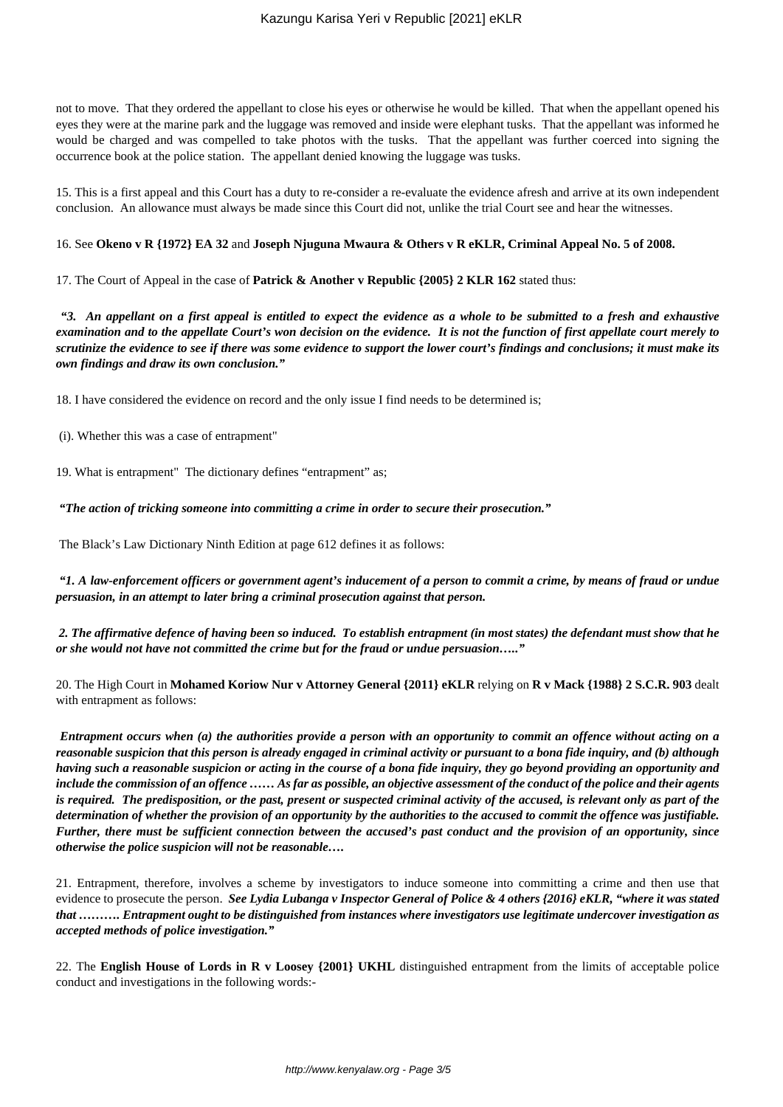not to move. That they ordered the appellant to close his eyes or otherwise he would be killed. That when the appellant opened his eyes they were at the marine park and the luggage was removed and inside were elephant tusks. That the appellant was informed he would be charged and was compelled to take photos with the tusks. That the appellant was further coerced into signing the occurrence book at the police station. The appellant denied knowing the luggage was tusks.

15. This is a first appeal and this Court has a duty to re-consider a re-evaluate the evidence afresh and arrive at its own independent conclusion. An allowance must always be made since this Court did not, unlike the trial Court see and hear the witnesses.

## 16. See **Okeno v R {1972} EA 32** and **Joseph Njuguna Mwaura & Others v R eKLR, Criminal Appeal No. 5 of 2008.**

17. The Court of Appeal in the case of **Patrick & Another v Republic {2005} 2 KLR 162** stated thus:

*"3. An appellant on a first appeal is entitled to expect the evidence as a whole to be submitted to a fresh and exhaustive examination and to the appellate Court's won decision on the evidence. It is not the function of first appellate court merely to scrutinize the evidence to see if there was some evidence to support the lower court's findings and conclusions; it must make its own findings and draw its own conclusion."*

18. I have considered the evidence on record and the only issue I find needs to be determined is;

(i). Whether this was a case of entrapment"

19. What is entrapment" The dictionary defines "entrapment" as;

*"The action of tricking someone into committing a crime in order to secure their prosecution."*

The Black's Law Dictionary Ninth Edition at page 612 defines it as follows:

*"1. A law-enforcement officers or government agent's inducement of a person to commit a crime, by means of fraud or undue persuasion, in an attempt to later bring a criminal prosecution against that person.*

*2. The affirmative defence of having been so induced. To establish entrapment (in most states) the defendant must show that he or she would not have not committed the crime but for the fraud or undue persuasion….."*

20. The High Court in **Mohamed Koriow Nur v Attorney General {2011} eKLR** relying on **R v Mack {1988} 2 S.C.R. 903** dealt with entrapment as follows:

*Entrapment occurs when (a) the authorities provide a person with an opportunity to commit an offence without acting on a reasonable suspicion that this person is already engaged in criminal activity or pursuant to a bona fide inquiry, and (b) although having such a reasonable suspicion or acting in the course of a bona fide inquiry, they go beyond providing an opportunity and include the commission of an offence …… As far as possible, an objective assessment of the conduct of the police and their agents is required. The predisposition, or the past, present or suspected criminal activity of the accused, is relevant only as part of the determination of whether the provision of an opportunity by the authorities to the accused to commit the offence was justifiable. Further, there must be sufficient connection between the accused's past conduct and the provision of an opportunity, since otherwise the police suspicion will not be reasonable….*

21. Entrapment, therefore, involves a scheme by investigators to induce someone into committing a crime and then use that evidence to prosecute the person. *See Lydia Lubanga v Inspector General of Police & 4 others {2016} eKLR, "where it was stated that ………. Entrapment ought to be distinguished from instances where investigators use legitimate undercover investigation as accepted methods of police investigation."*

22. The **English House of Lords in R v Loosey {2001} UKHL** distinguished entrapment from the limits of acceptable police conduct and investigations in the following words:-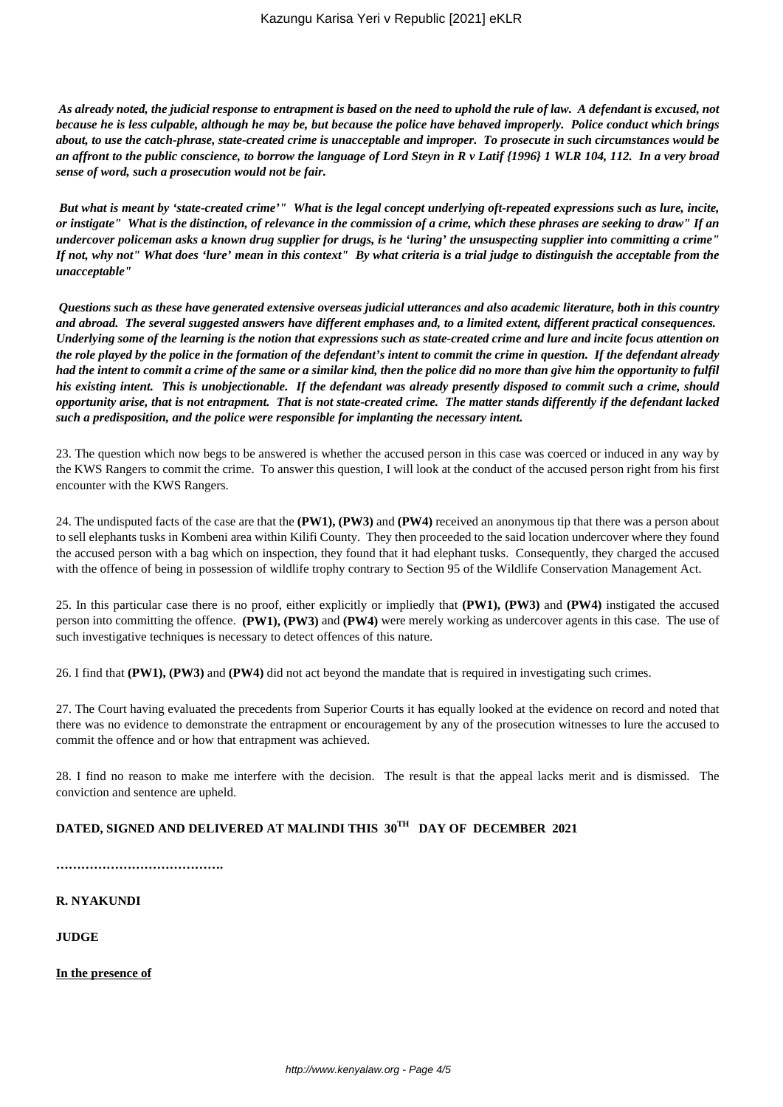*As already noted, the judicial response to entrapment is based on the need to uphold the rule of law. A defendant is excused, not because he is less culpable, although he may be, but because the police have behaved improperly. Police conduct which brings about, to use the catch-phrase, state-created crime is unacceptable and improper. To prosecute in such circumstances would be an affront to the public conscience, to borrow the language of Lord Steyn in R v Latif {1996} 1 WLR 104, 112. In a very broad sense of word, such a prosecution would not be fair.*

*But what is meant by 'state-created crime'" What is the legal concept underlying oft-repeated expressions such as lure, incite, or instigate" What is the distinction, of relevance in the commission of a crime, which these phrases are seeking to draw" If an undercover policeman asks a known drug supplier for drugs, is he 'luring' the unsuspecting supplier into committing a crime" If not, why not" What does 'lure' mean in this context" By what criteria is a trial judge to distinguish the acceptable from the unacceptable"*

*Questions such as these have generated extensive overseas judicial utterances and also academic literature, both in this country and abroad. The several suggested answers have different emphases and, to a limited extent, different practical consequences. Underlying some of the learning is the notion that expressions such as state-created crime and lure and incite focus attention on the role played by the police in the formation of the defendant's intent to commit the crime in question. If the defendant already had the intent to commit a crime of the same or a similar kind, then the police did no more than give him the opportunity to fulfil his existing intent. This is unobjectionable. If the defendant was already presently disposed to commit such a crime, should opportunity arise, that is not entrapment. That is not state-created crime. The matter stands differently if the defendant lacked such a predisposition, and the police were responsible for implanting the necessary intent.*

23. The question which now begs to be answered is whether the accused person in this case was coerced or induced in any way by the KWS Rangers to commit the crime. To answer this question, I will look at the conduct of the accused person right from his first encounter with the KWS Rangers.

24. The undisputed facts of the case are that the **(PW1), (PW3)** and **(PW4)** received an anonymous tip that there was a person about to sell elephants tusks in Kombeni area within Kilifi County. They then proceeded to the said location undercover where they found the accused person with a bag which on inspection, they found that it had elephant tusks. Consequently, they charged the accused with the offence of being in possession of wildlife trophy contrary to Section 95 of the Wildlife Conservation Management Act.

25. In this particular case there is no proof, either explicitly or impliedly that **(PW1), (PW3)** and **(PW4)** instigated the accused person into committing the offence. **(PW1), (PW3)** and **(PW4)** were merely working as undercover agents in this case. The use of such investigative techniques is necessary to detect offences of this nature.

26. I find that **(PW1), (PW3)** and **(PW4)** did not act beyond the mandate that is required in investigating such crimes.

27. The Court having evaluated the precedents from Superior Courts it has equally looked at the evidence on record and noted that there was no evidence to demonstrate the entrapment or encouragement by any of the prosecution witnesses to lure the accused to commit the offence and or how that entrapment was achieved.

28. I find no reason to make me interfere with the decision. The result is that the appeal lacks merit and is dismissed. The conviction and sentence are upheld.

# **DATED, SIGNED AND DELIVERED AT MALINDI THIS 30TH DAY OF DECEMBER 2021**

**………………………………….**

**R. NYAKUNDI**

**JUDGE**

**In the presence of**